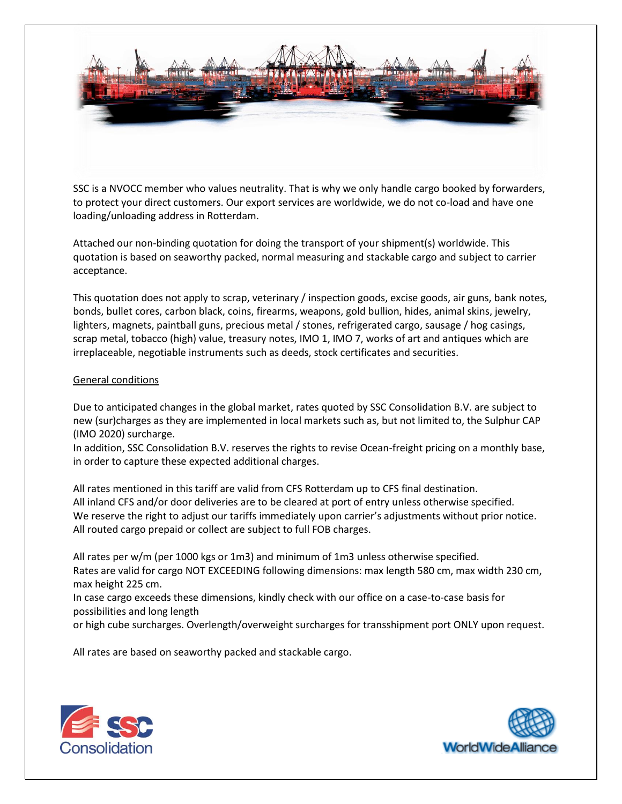

SSC is a NVOCC member who values neutrality. That is why we only handle cargo booked by forwarders, to protect your direct customers. Our export services are worldwide, we do not co-load and have one loading/unloading address in Rotterdam.

Attached our non-binding quotation for doing the transport of your shipment(s) worldwide. This quotation is based on seaworthy packed, normal measuring and stackable cargo and subject to carrier acceptance.

This quotation does not apply to scrap, veterinary / inspection goods, excise goods, air guns, bank notes, bonds, bullet cores, carbon black, coins, firearms, weapons, gold bullion, hides, animal skins, jewelry, lighters, magnets, paintball guns, precious metal / stones, refrigerated cargo, sausage / hog casings, scrap metal, tobacco (high) value, treasury notes, IMO 1, IMO 7, works of art and antiques which are irreplaceable, negotiable instruments such as deeds, stock certificates and securities.

## General conditions

Due to anticipated changes in the global market, rates quoted by SSC Consolidation B.V. are subject to new (sur)charges as they are implemented in local markets such as, but not limited to, the Sulphur CAP (IMO 2020) surcharge.

In addition, SSC Consolidation B.V. reserves the rights to revise Ocean-freight pricing on a monthly base, in order to capture these expected additional charges.

All rates mentioned in this tariff are valid from CFS Rotterdam up to CFS final destination. All inland CFS and/or door deliveries are to be cleared at port of entry unless otherwise specified. We reserve the right to adjust our tariffs immediately upon carrier's adjustments without prior notice. All routed cargo prepaid or collect are subject to full FOB charges.

All rates per w/m (per 1000 kgs or 1m3) and minimum of 1m3 unless otherwise specified. Rates are valid for cargo NOT EXCEEDING following dimensions: max length 580 cm, max width 230 cm, max height 225 cm.

In case cargo exceeds these dimensions, kindly check with our office on a case-to-case basis for possibilities and long length

or high cube surcharges. Overlength/overweight surcharges for transshipment port ONLY upon request.

All rates are based on seaworthy packed and stackable cargo.



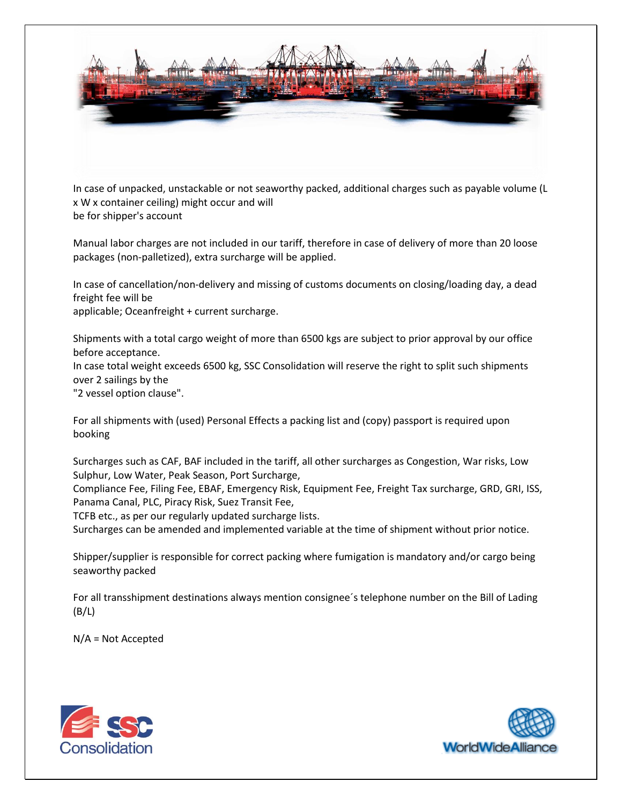

In case of unpacked, unstackable or not seaworthy packed, additional charges such as payable volume (L x W x container ceiling) might occur and will be for shipper's account

Manual labor charges are not included in our tariff, therefore in case of delivery of more than 20 loose packages (non-palletized), extra surcharge will be applied.

In case of cancellation/non-delivery and missing of customs documents on closing/loading day, a dead freight fee will be

applicable; Oceanfreight + current surcharge.

Shipments with a total cargo weight of more than 6500 kgs are subject to prior approval by our office before acceptance.

In case total weight exceeds 6500 kg, SSC Consolidation will reserve the right to split such shipments over 2 sailings by the

"2 vessel option clause".

For all shipments with (used) Personal Effects a packing list and (copy) passport is required upon booking

Surcharges such as CAF, BAF included in the tariff, all other surcharges as Congestion, War risks, Low Sulphur, Low Water, Peak Season, Port Surcharge,

Compliance Fee, Filing Fee, EBAF, Emergency Risk, Equipment Fee, Freight Tax surcharge, GRD, GRI, ISS, Panama Canal, PLC, Piracy Risk, Suez Transit Fee,

TCFB etc., as per our regularly updated surcharge lists.

Surcharges can be amended and implemented variable at the time of shipment without prior notice.

Shipper/supplier is responsible for correct packing where fumigation is mandatory and/or cargo being seaworthy packed

For all transshipment destinations always mention consignee´s telephone number on the Bill of Lading  $(B/L)$ 

N/A = Not Accepted



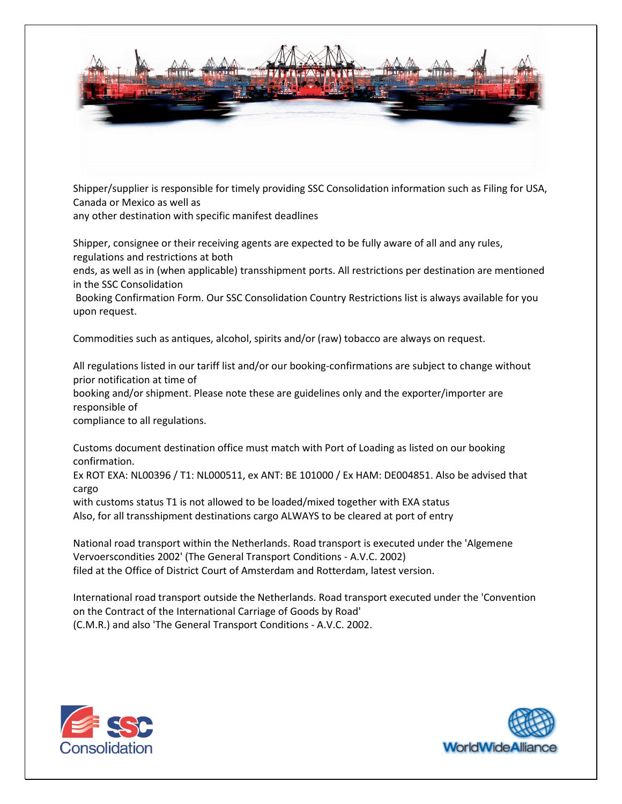

Shipper/supplier is responsible for timely providing SSC Consolidation information such as Filing for USA, Canada or Mexico as well as

any other destination with specific manifest deadlines

Shipper, consignee or their receiving agents are expected to be fully aware of all and any rules, regulations and restrictions at both

ends, as well as in (when applicable) transshipment ports. All restrictions per destination are mentioned in the SSC Consolidation

Booking Confirmation Form. Our SSC Consolidation Country Restrictions list is always available for you upon request.

Commodities such as antiques, alcohol, spirits and/or (raw) tobacco are always on request.

All regulations listed in our tariff list and/or our booking-confirmations are subject to change without prior notification at time of

booking and/or shipment. Please note these are guidelines only and the exporter/importer are responsible of

compliance to all regulations.

Customs document destination office must match with Port of Loading as listed on our booking confirmation.

Ex ROT EXA: NL00396 / T1: NL000511, ex ANT: BE 101000 / Ex HAM: DE004851. Also be advised that cargo

with customs status T1 is not allowed to be loaded/mixed together with EXA status Also, for all transshipment destinations cargo ALWAYS to be cleared at port of entry

National road transport within the Netherlands. Road transport is executed under the 'Algemene Vervoerscondities 2002' (The General Transport Conditions - A.V.C. 2002) filed at the Office of District Court of Amsterdam and Rotterdam, latest version.

International road transport outside the Netherlands. Road transport executed under the 'Convention on the Contract of the International Carriage of Goods by Road' (C.M.R.) and also 'The General Transport Conditions - A.V.C. 2002.